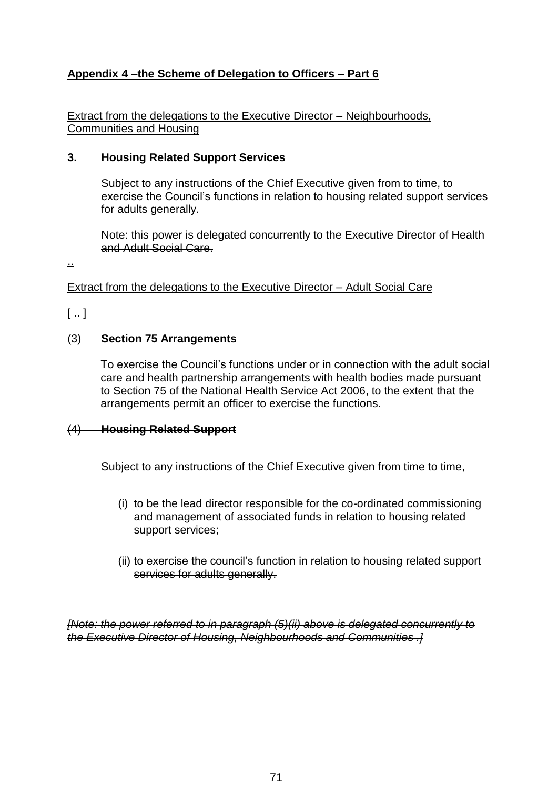## **Appendix 4 –the Scheme of Delegation to Officers – Part 6**

Extract from the delegations to the Executive Director – Neighbourhoods, Communities and Housing

#### **3. Housing Related Support Services**

Subject to any instructions of the Chief Executive given from to time, to exercise the Council's functions in relation to housing related support services for adults generally.

Note: this power is delegated concurrently to the Executive Director of Health and Adult Social Care.

..

Extract from the delegations to the Executive Director – Adult Social Care

 $[$  ..  $]$ 

#### (3) **Section 75 Arrangements**

To exercise the Council's functions under or in connection with the adult social care and health partnership arrangements with health bodies made pursuant to Section 75 of the National Health Service Act 2006, to the extent that the arrangements permit an officer to exercise the functions.

#### (4) **Housing Related Support**

Subject to any instructions of the Chief Executive given from time to time,

- (i) to be the lead director responsible for the co-ordinated commissioning and management of associated funds in relation to housing related support services;
- (ii) to exercise the council's function in relation to housing related support services for adults generally.

*[Note: the power referred to in paragraph (5)(ii) above is delegated concurrently to the Executive Director of Housing, Neighbourhoods and Communities .]*